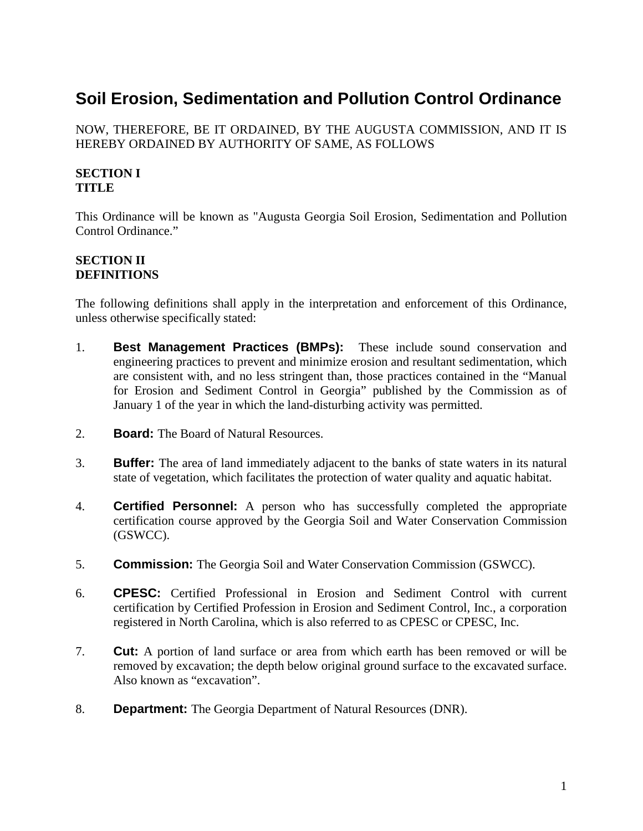# **Soil Erosion, Sedimentation and Pollution Control Ordinance**

NOW, THEREFORE, BE IT ORDAINED, BY THE AUGUSTA COMMISSION, AND IT IS HEREBY ORDAINED BY AUTHORITY OF SAME, AS FOLLOWS

## **SECTION I TITLE**

This Ordinance will be known as "Augusta Georgia Soil Erosion, Sedimentation and Pollution Control Ordinance."

## **SECTION II DEFINITIONS**

The following definitions shall apply in the interpretation and enforcement of this Ordinance, unless otherwise specifically stated:

- 1. **Best Management Practices (BMPs):** These include sound conservation and engineering practices to prevent and minimize erosion and resultant sedimentation, which are consistent with, and no less stringent than, those practices contained in the "Manual for Erosion and Sediment Control in Georgia" published by the Commission as of January 1 of the year in which the land-disturbing activity was permitted.
- 2. **Board:** The Board of Natural Resources.
- 3. **Buffer:** The area of land immediately adjacent to the banks of state waters in its natural state of vegetation, which facilitates the protection of water quality and aquatic habitat.
- 4. **Certified Personnel:** A person who has successfully completed the appropriate certification course approved by the Georgia Soil and Water Conservation Commission (GSWCC).
- 5. **Commission:** The Georgia Soil and Water Conservation Commission (GSWCC).
- 6. **CPESC:** Certified Professional in Erosion and Sediment Control with current certification by Certified Profession in Erosion and Sediment Control, Inc., a corporation registered in North Carolina, which is also referred to as CPESC or CPESC, Inc.
- 7. **Cut:** A portion of land surface or area from which earth has been removed or will be removed by excavation; the depth below original ground surface to the excavated surface. Also known as "excavation".
- 8. **Department:** The Georgia Department of Natural Resources (DNR).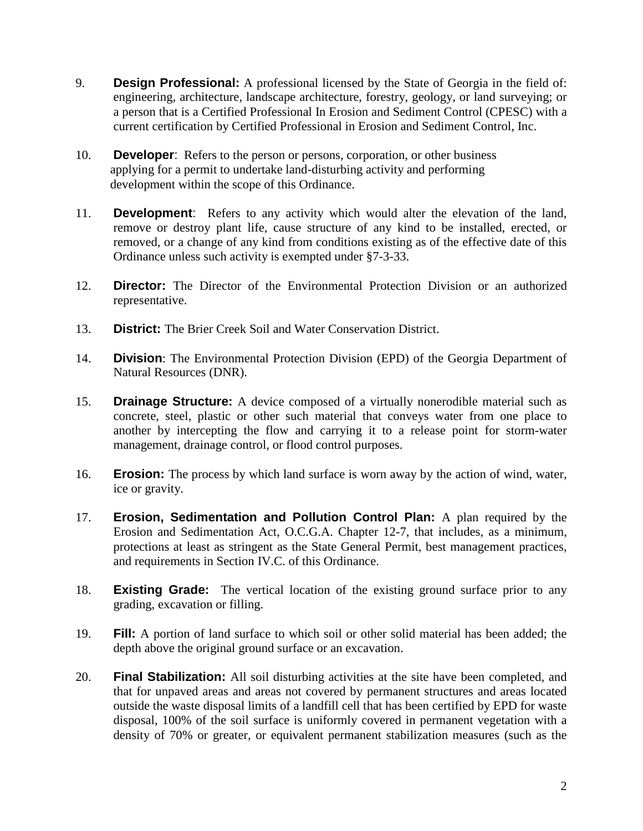- 9. **Design Professional:** A professional licensed by the State of Georgia in the field of: engineering, architecture, landscape architecture, forestry, geology, or land surveying; or a person that is a Certified Professional In Erosion and Sediment Control (CPESC) with a current certification by Certified Professional in Erosion and Sediment Control, Inc.
- 10. **Developer**: Refers to the person or persons, corporation, or other business applying for a permit to undertake land-disturbing activity and performing development within the scope of this Ordinance.
- 11. **Development**: Refers to any activity which would alter the elevation of the land, remove or destroy plant life, cause structure of any kind to be installed, erected, or removed, or a change of any kind from conditions existing as of the effective date of this Ordinance unless such activity is exempted under §7-3-33.
- 12. **Director:** The Director of the Environmental Protection Division or an authorized representative.
- 13. **District:** The Brier Creek Soil and Water Conservation District.
- 14. **Division**: The Environmental Protection Division (EPD) of the Georgia Department of Natural Resources (DNR).
- 15. **Drainage Structure:** A device composed of a virtually nonerodible material such as concrete, steel, plastic or other such material that conveys water from one place to another by intercepting the flow and carrying it to a release point for storm-water management, drainage control, or flood control purposes.
- 16. **Erosion:** The process by which land surface is worn away by the action of wind, water, ice or gravity.
- 17. **Erosion, Sedimentation and Pollution Control Plan:** A plan required by the Erosion and Sedimentation Act, O.C.G.A. Chapter 12-7, that includes, as a minimum, protections at least as stringent as the State General Permit, best management practices, and requirements in Section IV.C. of this Ordinance.
- 18. **Existing Grade:** The vertical location of the existing ground surface prior to any grading, excavation or filling.
- 19. **Fill:** A portion of land surface to which soil or other solid material has been added; the depth above the original ground surface or an excavation.
- 20. **Final Stabilization:** All soil disturbing activities at the site have been completed, and that for unpaved areas and areas not covered by permanent structures and areas located outside the waste disposal limits of a landfill cell that has been certified by EPD for waste disposal, 100% of the soil surface is uniformly covered in permanent vegetation with a density of 70% or greater, or equivalent permanent stabilization measures (such as the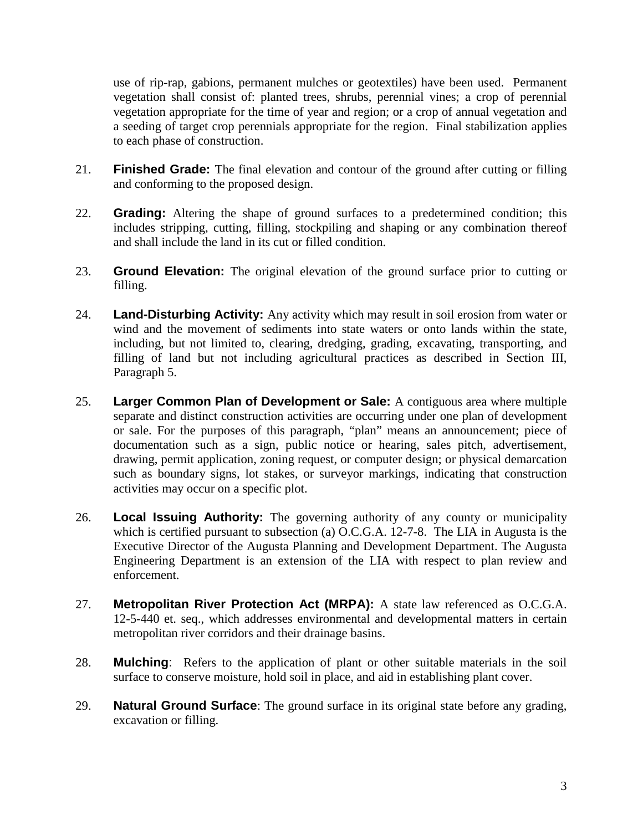use of rip-rap, gabions, permanent mulches or geotextiles) have been used. Permanent vegetation shall consist of: planted trees, shrubs, perennial vines; a crop of perennial vegetation appropriate for the time of year and region; or a crop of annual vegetation and a seeding of target crop perennials appropriate for the region. Final stabilization applies to each phase of construction.

- 21. **Finished Grade:** The final elevation and contour of the ground after cutting or filling and conforming to the proposed design.
- 22. **Grading:** Altering the shape of ground surfaces to a predetermined condition; this includes stripping, cutting, filling, stockpiling and shaping or any combination thereof and shall include the land in its cut or filled condition.
- 23. **Ground Elevation:** The original elevation of the ground surface prior to cutting or filling.
- 24. **Land-Disturbing Activity:** Any activity which may result in soil erosion from water or wind and the movement of sediments into state waters or onto lands within the state, including, but not limited to, clearing, dredging, grading, excavating, transporting, and filling of land but not including agricultural practices as described in Section III, Paragraph 5.
- 25. **Larger Common Plan of Development or Sale:** A contiguous area where multiple separate and distinct construction activities are occurring under one plan of development or sale. For the purposes of this paragraph, "plan" means an announcement; piece of documentation such as a sign, public notice or hearing, sales pitch, advertisement, drawing, permit application, zoning request, or computer design; or physical demarcation such as boundary signs, lot stakes, or surveyor markings, indicating that construction activities may occur on a specific plot.
- 26. **Local Issuing Authority:** The governing authority of any county or municipality which is certified pursuant to subsection (a) O.C.G.A. 12-7-8. The LIA in Augusta is the Executive Director of the Augusta Planning and Development Department. The Augusta Engineering Department is an extension of the LIA with respect to plan review and enforcement.
- 27. **Metropolitan River Protection Act (MRPA):** A state law referenced as O.C.G.A. 12-5-440 et. seq., which addresses environmental and developmental matters in certain metropolitan river corridors and their drainage basins.
- 28. **Mulching**: Refers to the application of plant or other suitable materials in the soil surface to conserve moisture, hold soil in place, and aid in establishing plant cover.
- 29. **Natural Ground Surface**: The ground surface in its original state before any grading, excavation or filling.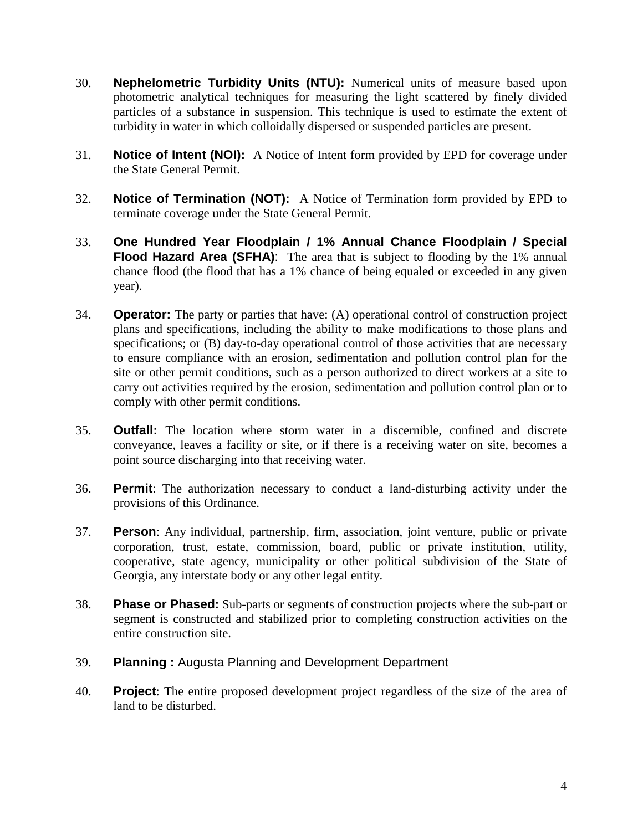- 30. **Nephelometric Turbidity Units (NTU):** Numerical units of measure based upon photometric analytical techniques for measuring the light scattered by finely divided particles of a substance in suspension. This technique is used to estimate the extent of turbidity in water in which colloidally dispersed or suspended particles are present.
- 31. **Notice of Intent (NOI):** A Notice of Intent form provided by EPD for coverage under the State General Permit.
- 32. **Notice of Termination (NOT):** A Notice of Termination form provided by EPD to terminate coverage under the State General Permit.
- 33. **One Hundred Year Floodplain / 1% Annual Chance Floodplain / Special Flood Hazard Area (SFHA)**: The area that is subject to flooding by the 1% annual chance flood (the flood that has a 1% chance of being equaled or exceeded in any given year).
- 34. **Operator:** The party or parties that have: (A) operational control of construction project plans and specifications, including the ability to make modifications to those plans and specifications; or (B) day-to-day operational control of those activities that are necessary to ensure compliance with an erosion, sedimentation and pollution control plan for the site or other permit conditions, such as a person authorized to direct workers at a site to carry out activities required by the erosion, sedimentation and pollution control plan or to comply with other permit conditions.
- 35. **Outfall:** The location where storm water in a discernible, confined and discrete conveyance, leaves a facility or site, or if there is a receiving water on site, becomes a point source discharging into that receiving water.
- 36. **Permit**: The authorization necessary to conduct a land-disturbing activity under the provisions of this Ordinance.
- 37. **Person**: Any individual, partnership, firm, association, joint venture, public or private corporation, trust, estate, commission, board, public or private institution, utility, cooperative, state agency, municipality or other political subdivision of the State of Georgia, any interstate body or any other legal entity.
- 38. **Phase or Phased:** Sub-parts or segments of construction projects where the sub-part or segment is constructed and stabilized prior to completing construction activities on the entire construction site.
- 39. **Planning :** Augusta Planning and Development Department
- 40. **Project**: The entire proposed development project regardless of the size of the area of land to be disturbed.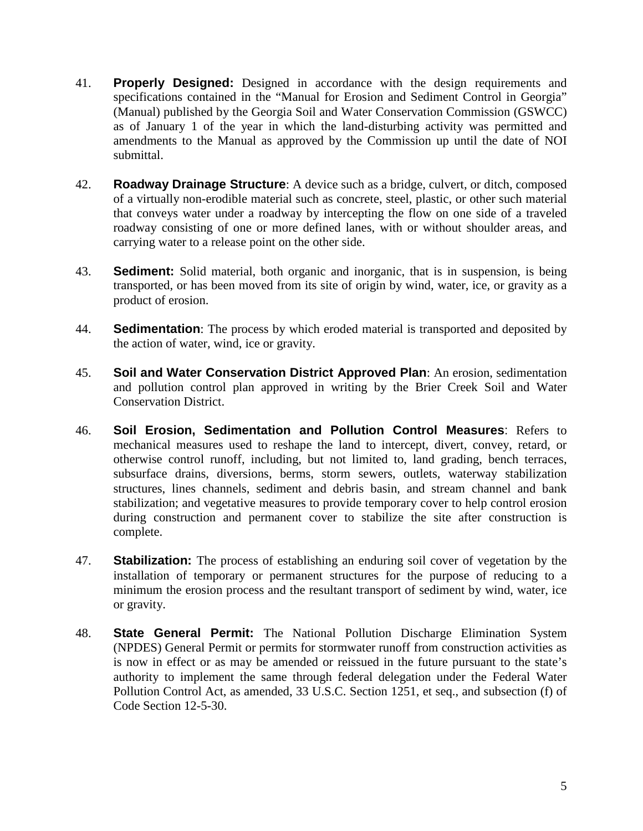- 41. **Properly Designed:** Designed in accordance with the design requirements and specifications contained in the "Manual for Erosion and Sediment Control in Georgia" (Manual) published by the Georgia Soil and Water Conservation Commission (GSWCC) as of January 1 of the year in which the land-disturbing activity was permitted and amendments to the Manual as approved by the Commission up until the date of NOI submittal.
- 42. **Roadway Drainage Structure**: A device such as a bridge, culvert, or ditch, composed of a virtually non-erodible material such as concrete, steel, plastic, or other such material that conveys water under a roadway by intercepting the flow on one side of a traveled roadway consisting of one or more defined lanes, with or without shoulder areas, and carrying water to a release point on the other side.
- 43. **Sediment:** Solid material, both organic and inorganic, that is in suspension, is being transported, or has been moved from its site of origin by wind, water, ice, or gravity as a product of erosion.
- 44. **Sedimentation**: The process by which eroded material is transported and deposited by the action of water, wind, ice or gravity.
- 45. **Soil and Water Conservation District Approved Plan**: An erosion, sedimentation and pollution control plan approved in writing by the Brier Creek Soil and Water Conservation District.
- 46. **Soil Erosion, Sedimentation and Pollution Control Measures**: Refers to mechanical measures used to reshape the land to intercept, divert, convey, retard, or otherwise control runoff, including, but not limited to, land grading, bench terraces, subsurface drains, diversions, berms, storm sewers, outlets, waterway stabilization structures, lines channels, sediment and debris basin, and stream channel and bank stabilization; and vegetative measures to provide temporary cover to help control erosion during construction and permanent cover to stabilize the site after construction is complete.
- 47. **Stabilization:** The process of establishing an enduring soil cover of vegetation by the installation of temporary or permanent structures for the purpose of reducing to a minimum the erosion process and the resultant transport of sediment by wind, water, ice or gravity.
- 48. **State General Permit:** The National Pollution Discharge Elimination System (NPDES) General Permit or permits for stormwater runoff from construction activities as is now in effect or as may be amended or reissued in the future pursuant to the state's authority to implement the same through federal delegation under the Federal Water Pollution Control Act, as amended, 33 U.S.C. Section 1251, et seq., and subsection (f) of Code Section 12-5-30.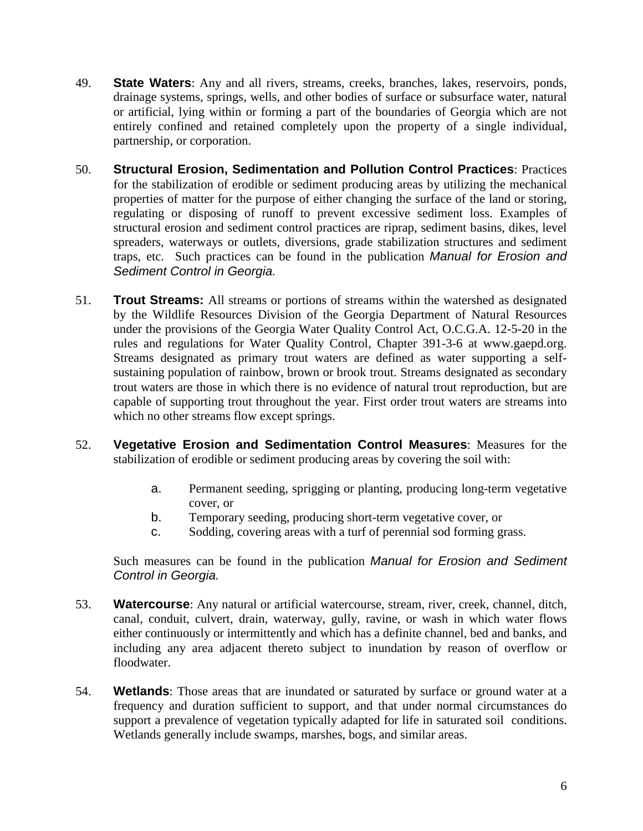- 49. **State Waters**: Any and all rivers, streams, creeks, branches, lakes, reservoirs, ponds, drainage systems, springs, wells, and other bodies of surface or subsurface water, natural or artificial, lying within or forming a part of the boundaries of Georgia which are not entirely confined and retained completely upon the property of a single individual, partnership, or corporation.
- 50. **Structural Erosion, Sedimentation and Pollution Control Practices**: Practices for the stabilization of erodible or sediment producing areas by utilizing the mechanical properties of matter for the purpose of either changing the surface of the land or storing, regulating or disposing of runoff to prevent excessive sediment loss. Examples of structural erosion and sediment control practices are riprap, sediment basins, dikes, level spreaders, waterways or outlets, diversions, grade stabilization structures and sediment traps, etc. Such practices can be found in the publication *Manual for Erosion and Sediment Control in Georgia.*
- 51. **Trout Streams:** All streams or portions of streams within the watershed as designated by the Wildlife Resources Division of the Georgia Department of Natural Resources under the provisions of the Georgia Water Quality Control Act, O.C.G.A. 12-5-20 in the rules and regulations for Water Quality Control, Chapter 391-3-6 at www.gaepd.org. Streams designated as primary trout waters are defined as water supporting a selfsustaining population of rainbow, brown or brook trout. Streams designated as secondary trout waters are those in which there is no evidence of natural trout reproduction, but are capable of supporting trout throughout the year. First order trout waters are streams into which no other streams flow except springs.
- 52. **Vegetative Erosion and Sedimentation Control Measures**: Measures for the stabilization of erodible or sediment producing areas by covering the soil with:
	- a. Permanent seeding, sprigging or planting, producing long-term vegetative cover, or
	- b. Temporary seeding, producing short-term vegetative cover, or
	- c. Sodding, covering areas with a turf of perennial sod forming grass.

Such measures can be found in the publication *Manual for Erosion and Sediment Control in Georgia.*

- 53. **Watercourse**: Any natural or artificial watercourse, stream, river, creek, channel, ditch, canal, conduit, culvert, drain, waterway, gully, ravine, or wash in which water flows either continuously or intermittently and which has a definite channel, bed and banks, and including any area adjacent thereto subject to inundation by reason of overflow or floodwater.
- 54. **Wetlands**: Those areas that are inundated or saturated by surface or ground water at a frequency and duration sufficient to support, and that under normal circumstances do support a prevalence of vegetation typically adapted for life in saturated soil conditions. Wetlands generally include swamps, marshes, bogs, and similar areas.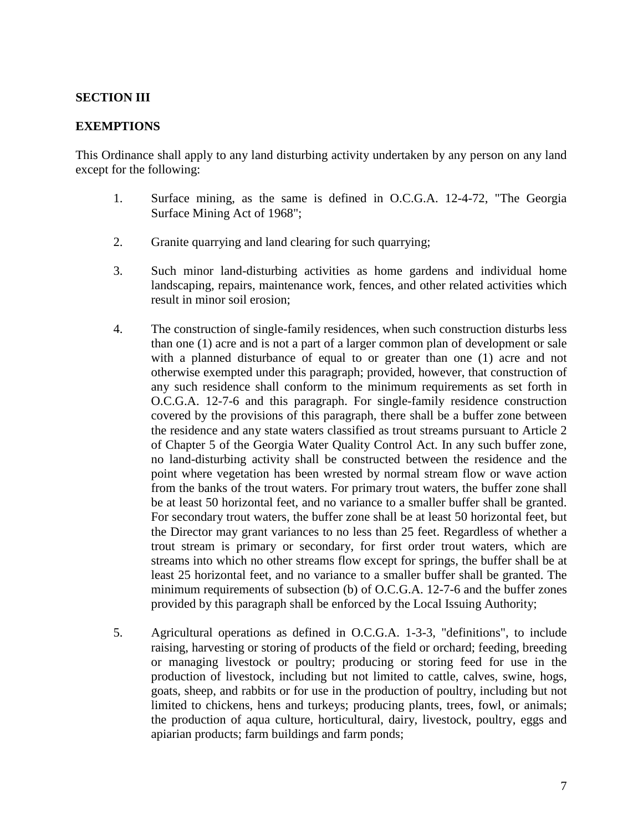### **SECTION III**

#### **EXEMPTIONS**

This Ordinance shall apply to any land disturbing activity undertaken by any person on any land except for the following:

- 1. Surface mining, as the same is defined in O.C.G.A. 12-4-72, "The Georgia Surface Mining Act of 1968";
- 2. Granite quarrying and land clearing for such quarrying;
- 3. Such minor land-disturbing activities as home gardens and individual home landscaping, repairs, maintenance work, fences, and other related activities which result in minor soil erosion;
- 4. The construction of single-family residences, when such construction disturbs less than one (1) acre and is not a part of a larger common plan of development or sale with a planned disturbance of equal to or greater than one (1) acre and not otherwise exempted under this paragraph; provided, however, that construction of any such residence shall conform to the minimum requirements as set forth in O.C.G.A. 12-7-6 and this paragraph. For single-family residence construction covered by the provisions of this paragraph, there shall be a buffer zone between the residence and any state waters classified as trout streams pursuant to Article 2 of Chapter 5 of the Georgia Water Quality Control Act. In any such buffer zone, no land-disturbing activity shall be constructed between the residence and the point where vegetation has been wrested by normal stream flow or wave action from the banks of the trout waters. For primary trout waters, the buffer zone shall be at least 50 horizontal feet, and no variance to a smaller buffer shall be granted. For secondary trout waters, the buffer zone shall be at least 50 horizontal feet, but the Director may grant variances to no less than 25 feet. Regardless of whether a trout stream is primary or secondary, for first order trout waters, which are streams into which no other streams flow except for springs, the buffer shall be at least 25 horizontal feet, and no variance to a smaller buffer shall be granted. The minimum requirements of subsection (b) of O.C.G.A. 12-7-6 and the buffer zones provided by this paragraph shall be enforced by the Local Issuing Authority;
- 5. Agricultural operations as defined in O.C.G.A. 1-3-3, "definitions", to include raising, harvesting or storing of products of the field or orchard; feeding, breeding or managing livestock or poultry; producing or storing feed for use in the production of livestock, including but not limited to cattle, calves, swine, hogs, goats, sheep, and rabbits or for use in the production of poultry, including but not limited to chickens, hens and turkeys; producing plants, trees, fowl, or animals; the production of aqua culture, horticultural, dairy, livestock, poultry, eggs and apiarian products; farm buildings and farm ponds;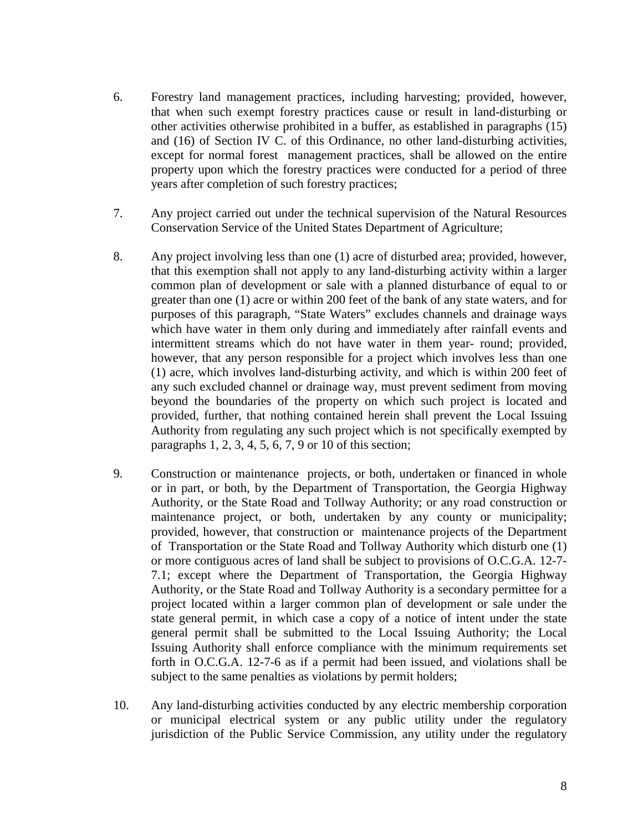- 6. Forestry land management practices, including harvesting; provided, however, that when such exempt forestry practices cause or result in land-disturbing or other activities otherwise prohibited in a buffer, as established in paragraphs (15) and (16) of Section IV C. of this Ordinance, no other land-disturbing activities, except for normal forest management practices, shall be allowed on the entire property upon which the forestry practices were conducted for a period of three years after completion of such forestry practices;
- 7. Any project carried out under the technical supervision of the Natural Resources Conservation Service of the United States Department of Agriculture;
- 8. Any project involving less than one (1) acre of disturbed area; provided, however, that this exemption shall not apply to any land-disturbing activity within a larger common plan of development or sale with a planned disturbance of equal to or greater than one (1) acre or within 200 feet of the bank of any state waters, and for purposes of this paragraph, "State Waters" excludes channels and drainage ways which have water in them only during and immediately after rainfall events and intermittent streams which do not have water in them year- round; provided, however, that any person responsible for a project which involves less than one (1) acre, which involves land-disturbing activity, and which is within 200 feet of any such excluded channel or drainage way, must prevent sediment from moving beyond the boundaries of the property on which such project is located and provided, further, that nothing contained herein shall prevent the Local Issuing Authority from regulating any such project which is not specifically exempted by paragraphs 1, 2, 3, 4, 5, 6, 7, 9 or 10 of this section;
- 9. Construction or maintenance projects, or both, undertaken or financed in whole or in part, or both, by the Department of Transportation, the Georgia Highway Authority, or the State Road and Tollway Authority; or any road construction or maintenance project, or both, undertaken by any county or municipality; provided, however, that construction or maintenance projects of the Department of Transportation or the State Road and Tollway Authority which disturb one (1) or more contiguous acres of land shall be subject to provisions of O.C.G.A. 12-7- 7.1; except where the Department of Transportation, the Georgia Highway Authority, or the State Road and Tollway Authority is a secondary permittee for a project located within a larger common plan of development or sale under the state general permit, in which case a copy of a notice of intent under the state general permit shall be submitted to the Local Issuing Authority; the Local Issuing Authority shall enforce compliance with the minimum requirements set forth in O.C.G.A. 12-7-6 as if a permit had been issued, and violations shall be subject to the same penalties as violations by permit holders;
- 10. Any land-disturbing activities conducted by any electric membership corporation or municipal electrical system or any public utility under the regulatory jurisdiction of the Public Service Commission, any utility under the regulatory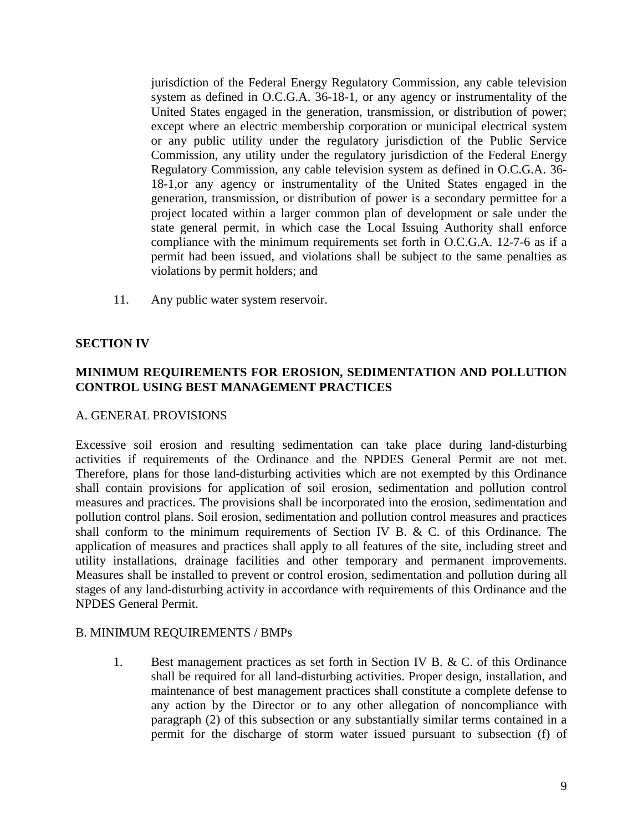jurisdiction of the Federal Energy Regulatory Commission, any cable television system as defined in O.C.G.A. 36-18-1, or any agency or instrumentality of the United States engaged in the generation, transmission, or distribution of power; except where an electric membership corporation or municipal electrical system or any public utility under the regulatory jurisdiction of the Public Service Commission, any utility under the regulatory jurisdiction of the Federal Energy Regulatory Commission, any cable television system as defined in O.C.G.A. 36- 18-1,or any agency or instrumentality of the United States engaged in the generation, transmission, or distribution of power is a secondary permittee for a project located within a larger common plan of development or sale under the state general permit, in which case the Local Issuing Authority shall enforce compliance with the minimum requirements set forth in O.C.G.A. 12-7-6 as if a permit had been issued, and violations shall be subject to the same penalties as violations by permit holders; and

11. Any public water system reservoir.

## **SECTION IV**

## **MINIMUM REQUIREMENTS FOR EROSION, SEDIMENTATION AND POLLUTION CONTROL USING BEST MANAGEMENT PRACTICES**

#### A. GENERAL PROVISIONS

Excessive soil erosion and resulting sedimentation can take place during land-disturbing activities if requirements of the Ordinance and the NPDES General Permit are not met. Therefore, plans for those land-disturbing activities which are not exempted by this Ordinance shall contain provisions for application of soil erosion, sedimentation and pollution control measures and practices. The provisions shall be incorporated into the erosion, sedimentation and pollution control plans. Soil erosion, sedimentation and pollution control measures and practices shall conform to the minimum requirements of Section IV B. & C. of this Ordinance. The application of measures and practices shall apply to all features of the site, including street and utility installations, drainage facilities and other temporary and permanent improvements. Measures shall be installed to prevent or control erosion, sedimentation and pollution during all stages of any land-disturbing activity in accordance with requirements of this Ordinance and the NPDES General Permit.

#### B. MINIMUM REQUIREMENTS / BMPs

1. Best management practices as set forth in Section IV B. & C. of this Ordinance shall be required for all land-disturbing activities. Proper design, installation, and maintenance of best management practices shall constitute a complete defense to any action by the Director or to any other allegation of noncompliance with paragraph (2) of this subsection or any substantially similar terms contained in a permit for the discharge of storm water issued pursuant to subsection (f) of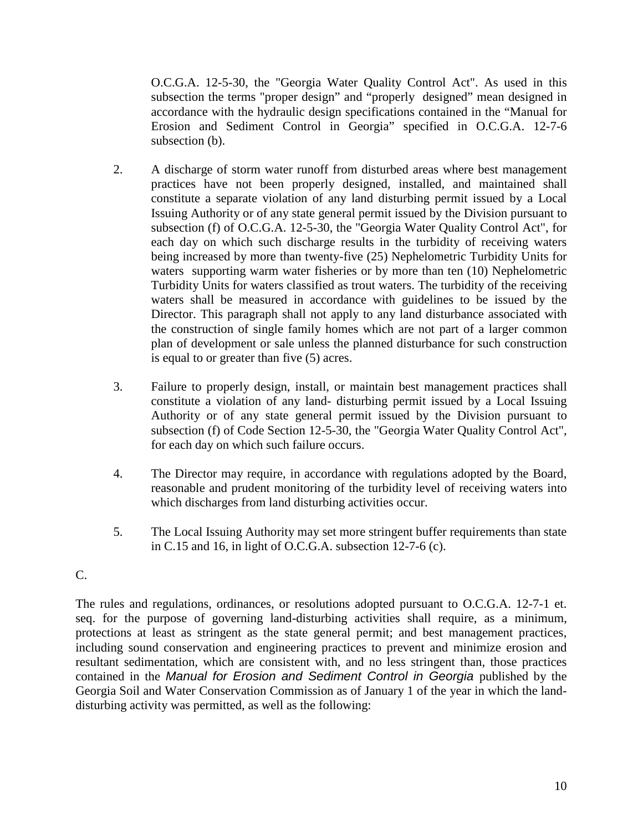O.C.G.A. 12-5-30, the "Georgia Water Quality Control Act". As used in this subsection the terms "proper design" and "properly designed" mean designed in accordance with the hydraulic design specifications contained in the "Manual for Erosion and Sediment Control in Georgia" specified in O.C.G.A. 12-7-6 subsection (b).

- 2. A discharge of storm water runoff from disturbed areas where best management practices have not been properly designed, installed, and maintained shall constitute a separate violation of any land disturbing permit issued by a Local Issuing Authority or of any state general permit issued by the Division pursuant to subsection (f) of O.C.G.A. 12-5-30, the "Georgia Water Quality Control Act", for each day on which such discharge results in the turbidity of receiving waters being increased by more than twenty-five (25) Nephelometric Turbidity Units for waters supporting warm water fisheries or by more than ten (10) Nephelometric Turbidity Units for waters classified as trout waters. The turbidity of the receiving waters shall be measured in accordance with guidelines to be issued by the Director. This paragraph shall not apply to any land disturbance associated with the construction of single family homes which are not part of a larger common plan of development or sale unless the planned disturbance for such construction is equal to or greater than five (5) acres.
- 3. Failure to properly design, install, or maintain best management practices shall constitute a violation of any land- disturbing permit issued by a Local Issuing Authority or of any state general permit issued by the Division pursuant to subsection (f) of Code Section 12-5-30, the "Georgia Water Quality Control Act", for each day on which such failure occurs.
- 4. The Director may require, in accordance with regulations adopted by the Board, reasonable and prudent monitoring of the turbidity level of receiving waters into which discharges from land disturbing activities occur.
- 5. The Local Issuing Authority may set more stringent buffer requirements than state in C.15 and 16, in light of O.C.G.A. subsection 12-7-6 (c).

## C.

The rules and regulations, ordinances, or resolutions adopted pursuant to O.C.G.A. 12-7-1 et. seq. for the purpose of governing land-disturbing activities shall require, as a minimum, protections at least as stringent as the state general permit; and best management practices, including sound conservation and engineering practices to prevent and minimize erosion and resultant sedimentation, which are consistent with, and no less stringent than, those practices contained in the *Manual for Erosion and Sediment Control in Georgia* published by the Georgia Soil and Water Conservation Commission as of January 1 of the year in which the landdisturbing activity was permitted, as well as the following: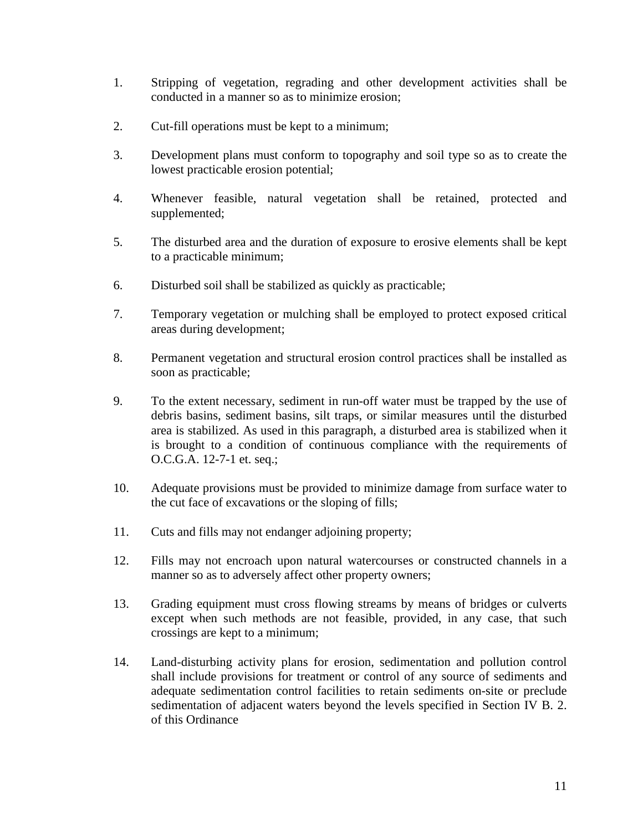- 1. Stripping of vegetation, regrading and other development activities shall be conducted in a manner so as to minimize erosion;
- 2. Cut-fill operations must be kept to a minimum;
- 3. Development plans must conform to topography and soil type so as to create the lowest practicable erosion potential;
- 4. Whenever feasible, natural vegetation shall be retained, protected and supplemented;
- 5. The disturbed area and the duration of exposure to erosive elements shall be kept to a practicable minimum;
- 6. Disturbed soil shall be stabilized as quickly as practicable;
- 7. Temporary vegetation or mulching shall be employed to protect exposed critical areas during development;
- 8. Permanent vegetation and structural erosion control practices shall be installed as soon as practicable;
- 9. To the extent necessary, sediment in run-off water must be trapped by the use of debris basins, sediment basins, silt traps, or similar measures until the disturbed area is stabilized. As used in this paragraph, a disturbed area is stabilized when it is brought to a condition of continuous compliance with the requirements of O.C.G.A. 12-7-1 et. seq.;
- 10. Adequate provisions must be provided to minimize damage from surface water to the cut face of excavations or the sloping of fills;
- 11. Cuts and fills may not endanger adjoining property;
- 12. Fills may not encroach upon natural watercourses or constructed channels in a manner so as to adversely affect other property owners;
- 13. Grading equipment must cross flowing streams by means of bridges or culverts except when such methods are not feasible, provided, in any case, that such crossings are kept to a minimum;
- 14. Land-disturbing activity plans for erosion, sedimentation and pollution control shall include provisions for treatment or control of any source of sediments and adequate sedimentation control facilities to retain sediments on-site or preclude sedimentation of adjacent waters beyond the levels specified in Section IV B. 2. of this Ordinance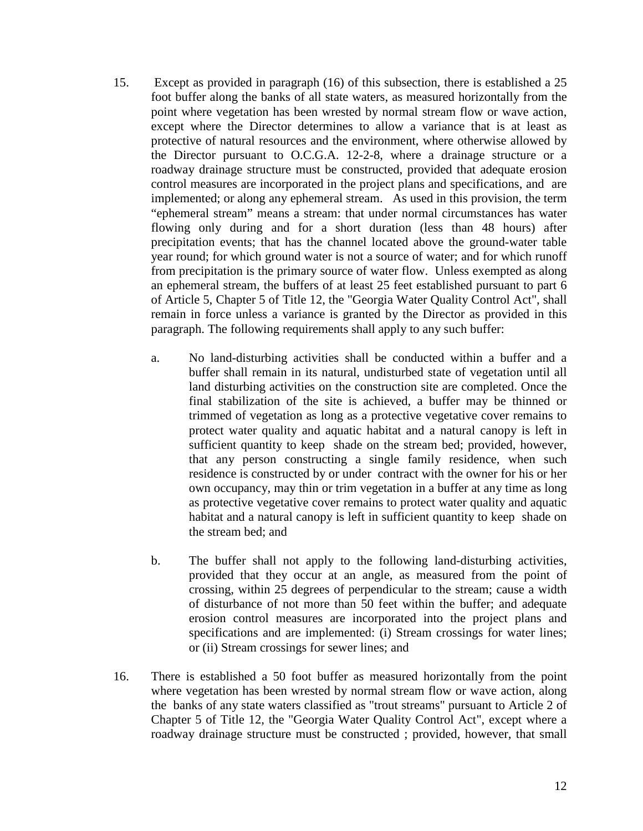- 15. Except as provided in paragraph (16) of this subsection, there is established a 25 foot buffer along the banks of all state waters, as measured horizontally from the point where vegetation has been wrested by normal stream flow or wave action, except where the Director determines to allow a variance that is at least as protective of natural resources and the environment, where otherwise allowed by the Director pursuant to O.C.G.A. 12-2-8, where a drainage structure or a roadway drainage structure must be constructed, provided that adequate erosion control measures are incorporated in the project plans and specifications, and are implemented; or along any ephemeral stream. As used in this provision, the term "ephemeral stream" means a stream: that under normal circumstances has water flowing only during and for a short duration (less than 48 hours) after precipitation events; that has the channel located above the ground-water table year round; for which ground water is not a source of water; and for which runoff from precipitation is the primary source of water flow. Unless exempted as along an ephemeral stream, the buffers of at least 25 feet established pursuant to part 6 of Article 5, Chapter 5 of Title 12, the "Georgia Water Quality Control Act", shall remain in force unless a variance is granted by the Director as provided in this paragraph. The following requirements shall apply to any such buffer:
	- a. No land-disturbing activities shall be conducted within a buffer and a buffer shall remain in its natural, undisturbed state of vegetation until all land disturbing activities on the construction site are completed. Once the final stabilization of the site is achieved, a buffer may be thinned or trimmed of vegetation as long as a protective vegetative cover remains to protect water quality and aquatic habitat and a natural canopy is left in sufficient quantity to keep shade on the stream bed; provided, however, that any person constructing a single family residence, when such residence is constructed by or under contract with the owner for his or her own occupancy, may thin or trim vegetation in a buffer at any time as long as protective vegetative cover remains to protect water quality and aquatic habitat and a natural canopy is left in sufficient quantity to keep shade on the stream bed; and
	- b. The buffer shall not apply to the following land-disturbing activities, provided that they occur at an angle, as measured from the point of crossing, within 25 degrees of perpendicular to the stream; cause a width of disturbance of not more than 50 feet within the buffer; and adequate erosion control measures are incorporated into the project plans and specifications and are implemented: (i) Stream crossings for water lines; or (ii) Stream crossings for sewer lines; and
- 16. There is established a 50 foot buffer as measured horizontally from the point where vegetation has been wrested by normal stream flow or wave action, along the banks of any state waters classified as "trout streams" pursuant to Article 2 of Chapter 5 of Title 12, the "Georgia Water Quality Control Act", except where a roadway drainage structure must be constructed ; provided, however, that small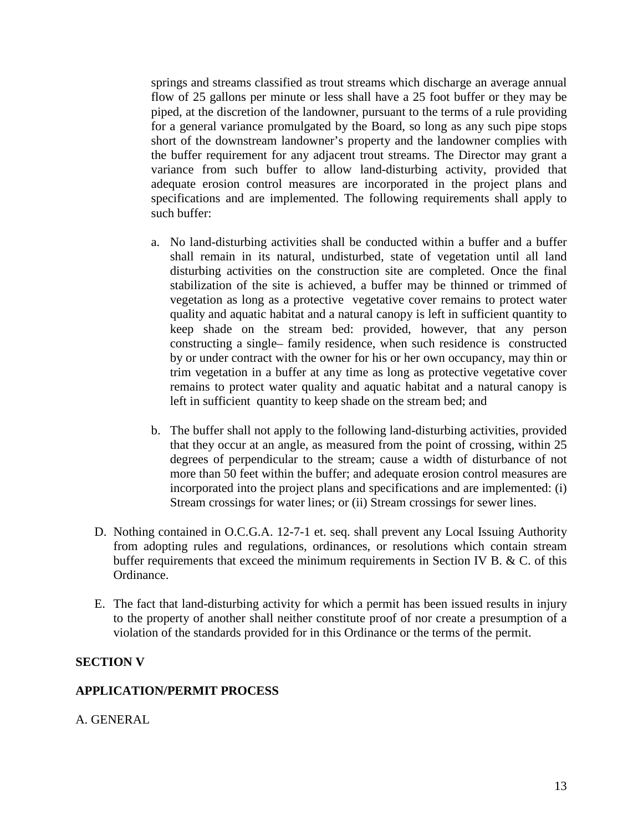springs and streams classified as trout streams which discharge an average annual flow of 25 gallons per minute or less shall have a 25 foot buffer or they may be piped, at the discretion of the landowner, pursuant to the terms of a rule providing for a general variance promulgated by the Board, so long as any such pipe stops short of the downstream landowner's property and the landowner complies with the buffer requirement for any adjacent trout streams. The Director may grant a variance from such buffer to allow land-disturbing activity, provided that adequate erosion control measures are incorporated in the project plans and specifications and are implemented. The following requirements shall apply to such buffer:

- a. No land-disturbing activities shall be conducted within a buffer and a buffer shall remain in its natural, undisturbed, state of vegetation until all land disturbing activities on the construction site are completed. Once the final stabilization of the site is achieved, a buffer may be thinned or trimmed of vegetation as long as a protective vegetative cover remains to protect water quality and aquatic habitat and a natural canopy is left in sufficient quantity to keep shade on the stream bed: provided, however, that any person constructing a single– family residence, when such residence is constructed by or under contract with the owner for his or her own occupancy, may thin or trim vegetation in a buffer at any time as long as protective vegetative cover remains to protect water quality and aquatic habitat and a natural canopy is left in sufficient quantity to keep shade on the stream bed; and
- b. The buffer shall not apply to the following land-disturbing activities, provided that they occur at an angle, as measured from the point of crossing, within 25 degrees of perpendicular to the stream; cause a width of disturbance of not more than 50 feet within the buffer; and adequate erosion control measures are incorporated into the project plans and specifications and are implemented: (i) Stream crossings for water lines; or (ii) Stream crossings for sewer lines.
- D. Nothing contained in O.C.G.A. 12-7-1 et. seq. shall prevent any Local Issuing Authority from adopting rules and regulations, ordinances, or resolutions which contain stream buffer requirements that exceed the minimum requirements in Section IV B. & C. of this Ordinance.
- E. The fact that land-disturbing activity for which a permit has been issued results in injury to the property of another shall neither constitute proof of nor create a presumption of a violation of the standards provided for in this Ordinance or the terms of the permit.

#### **SECTION V**

#### **APPLICATION/PERMIT PROCESS**

A. GENERAL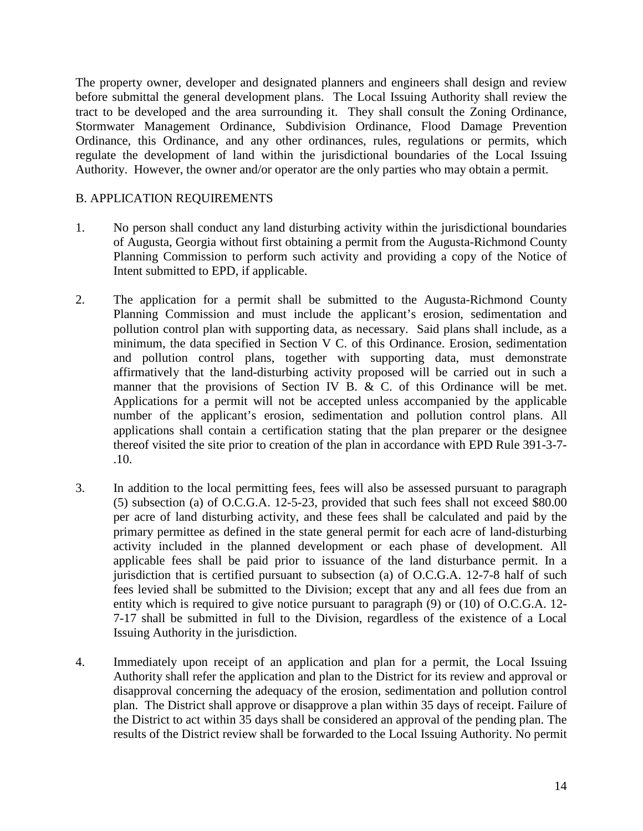The property owner, developer and designated planners and engineers shall design and review before submittal the general development plans. The Local Issuing Authority shall review the tract to be developed and the area surrounding it. They shall consult the Zoning Ordinance, Stormwater Management Ordinance, Subdivision Ordinance, Flood Damage Prevention Ordinance, this Ordinance, and any other ordinances, rules, regulations or permits, which regulate the development of land within the jurisdictional boundaries of the Local Issuing Authority. However, the owner and/or operator are the only parties who may obtain a permit.

### B. APPLICATION REQUIREMENTS

- 1. No person shall conduct any land disturbing activity within the jurisdictional boundaries of Augusta, Georgia without first obtaining a permit from the Augusta-Richmond County Planning Commission to perform such activity and providing a copy of the Notice of Intent submitted to EPD, if applicable.
- 2. The application for a permit shall be submitted to the Augusta-Richmond County Planning Commission and must include the applicant's erosion, sedimentation and pollution control plan with supporting data, as necessary. Said plans shall include, as a minimum, the data specified in Section V C. of this Ordinance. Erosion, sedimentation and pollution control plans, together with supporting data, must demonstrate affirmatively that the land-disturbing activity proposed will be carried out in such a manner that the provisions of Section IV B. & C. of this Ordinance will be met. Applications for a permit will not be accepted unless accompanied by the applicable number of the applicant's erosion, sedimentation and pollution control plans. All applications shall contain a certification stating that the plan preparer or the designee thereof visited the site prior to creation of the plan in accordance with EPD Rule 391-3-7- .10.
- 3. In addition to the local permitting fees, fees will also be assessed pursuant to paragraph (5) subsection (a) of O.C.G.A. 12-5-23, provided that such fees shall not exceed \$80.00 per acre of land disturbing activity, and these fees shall be calculated and paid by the primary permittee as defined in the state general permit for each acre of land-disturbing activity included in the planned development or each phase of development. All applicable fees shall be paid prior to issuance of the land disturbance permit. In a jurisdiction that is certified pursuant to subsection (a) of O.C.G.A. 12-7-8 half of such fees levied shall be submitted to the Division; except that any and all fees due from an entity which is required to give notice pursuant to paragraph (9) or (10) of O.C.G.A. 12- 7-17 shall be submitted in full to the Division, regardless of the existence of a Local Issuing Authority in the jurisdiction.
- 4. Immediately upon receipt of an application and plan for a permit, the Local Issuing Authority shall refer the application and plan to the District for its review and approval or disapproval concerning the adequacy of the erosion, sedimentation and pollution control plan. The District shall approve or disapprove a plan within 35 days of receipt. Failure of the District to act within 35 days shall be considered an approval of the pending plan. The results of the District review shall be forwarded to the Local Issuing Authority. No permit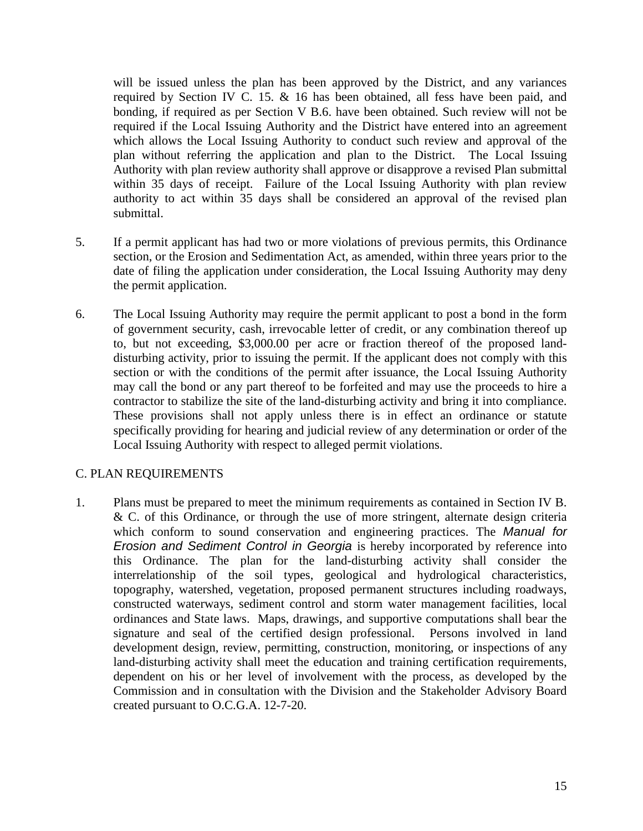will be issued unless the plan has been approved by the District, and any variances required by Section IV C. 15. & 16 has been obtained, all fess have been paid, and bonding, if required as per Section V B.6. have been obtained. Such review will not be required if the Local Issuing Authority and the District have entered into an agreement which allows the Local Issuing Authority to conduct such review and approval of the plan without referring the application and plan to the District. The Local Issuing Authority with plan review authority shall approve or disapprove a revised Plan submittal within 35 days of receipt. Failure of the Local Issuing Authority with plan review authority to act within 35 days shall be considered an approval of the revised plan submittal.

- 5. If a permit applicant has had two or more violations of previous permits, this Ordinance section, or the Erosion and Sedimentation Act, as amended, within three years prior to the date of filing the application under consideration, the Local Issuing Authority may deny the permit application.
- 6. The Local Issuing Authority may require the permit applicant to post a bond in the form of government security, cash, irrevocable letter of credit, or any combination thereof up to, but not exceeding, \$3,000.00 per acre or fraction thereof of the proposed landdisturbing activity, prior to issuing the permit. If the applicant does not comply with this section or with the conditions of the permit after issuance, the Local Issuing Authority may call the bond or any part thereof to be forfeited and may use the proceeds to hire a contractor to stabilize the site of the land-disturbing activity and bring it into compliance. These provisions shall not apply unless there is in effect an ordinance or statute specifically providing for hearing and judicial review of any determination or order of the Local Issuing Authority with respect to alleged permit violations.

## C. PLAN REQUIREMENTS

1. Plans must be prepared to meet the minimum requirements as contained in Section IV B. & C. of this Ordinance, or through the use of more stringent, alternate design criteria which conform to sound conservation and engineering practices. The *Manual for Erosion and Sediment Control in Georgia* is hereby incorporated by reference into this Ordinance. The plan for the land-disturbing activity shall consider the interrelationship of the soil types, geological and hydrological characteristics, topography, watershed, vegetation, proposed permanent structures including roadways, constructed waterways, sediment control and storm water management facilities, local ordinances and State laws. Maps, drawings, and supportive computations shall bear the signature and seal of the certified design professional. Persons involved in land development design, review, permitting, construction, monitoring, or inspections of any land-disturbing activity shall meet the education and training certification requirements, dependent on his or her level of involvement with the process, as developed by the Commission and in consultation with the Division and the Stakeholder Advisory Board created pursuant to O.C.G.A. 12-7-20.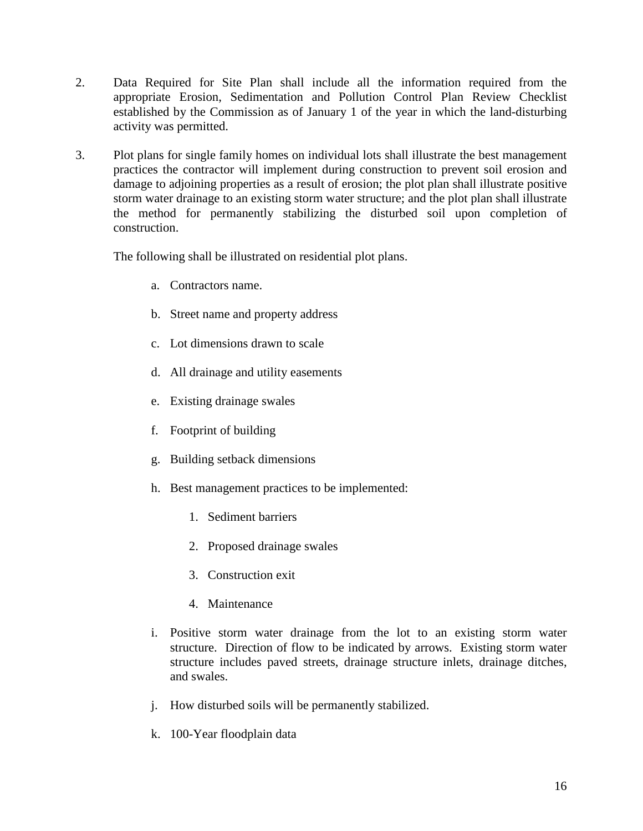- 2. Data Required for Site Plan shall include all the information required from the appropriate Erosion, Sedimentation and Pollution Control Plan Review Checklist established by the Commission as of January 1 of the year in which the land-disturbing activity was permitted.
- 3. Plot plans for single family homes on individual lots shall illustrate the best management practices the contractor will implement during construction to prevent soil erosion and damage to adjoining properties as a result of erosion; the plot plan shall illustrate positive storm water drainage to an existing storm water structure; and the plot plan shall illustrate the method for permanently stabilizing the disturbed soil upon completion of construction.

The following shall be illustrated on residential plot plans.

- a. Contractors name.
- b. Street name and property address
- c. Lot dimensions drawn to scale
- d. All drainage and utility easements
- e. Existing drainage swales
- f. Footprint of building
- g. Building setback dimensions
- h. Best management practices to be implemented:
	- 1. Sediment barriers
	- 2. Proposed drainage swales
	- 3. Construction exit
	- 4. Maintenance
- i. Positive storm water drainage from the lot to an existing storm water structure. Direction of flow to be indicated by arrows. Existing storm water structure includes paved streets, drainage structure inlets, drainage ditches, and swales.
- j. How disturbed soils will be permanently stabilized.
- k. 100-Year floodplain data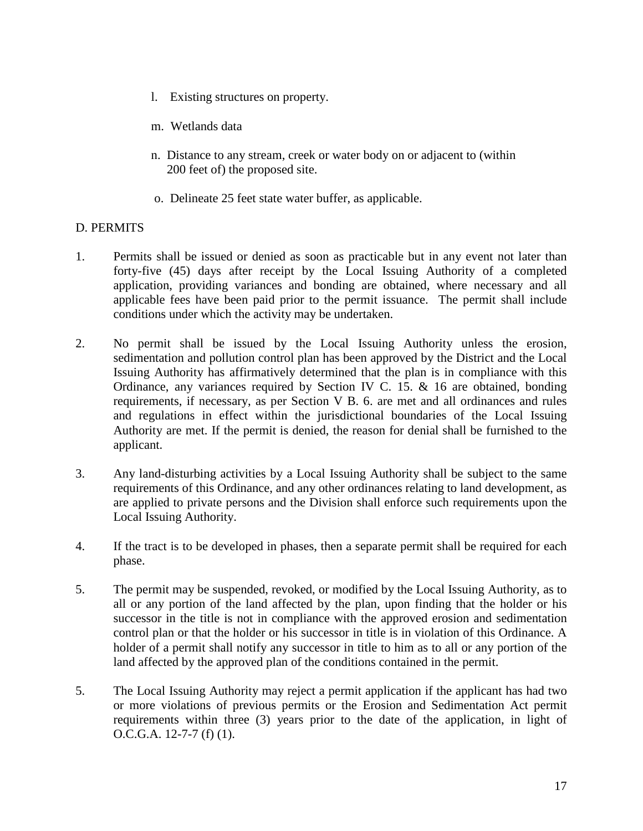- l. Existing structures on property.
- m. Wetlands data
- n. Distance to any stream, creek or water body on or adjacent to (within 200 feet of) the proposed site.
- o. Delineate 25 feet state water buffer, as applicable.

#### D. PERMITS

- 1. Permits shall be issued or denied as soon as practicable but in any event not later than forty-five (45) days after receipt by the Local Issuing Authority of a completed application, providing variances and bonding are obtained, where necessary and all applicable fees have been paid prior to the permit issuance. The permit shall include conditions under which the activity may be undertaken.
- 2. No permit shall be issued by the Local Issuing Authority unless the erosion, sedimentation and pollution control plan has been approved by the District and the Local Issuing Authority has affirmatively determined that the plan is in compliance with this Ordinance, any variances required by Section IV C. 15. & 16 are obtained, bonding requirements, if necessary, as per Section V B. 6. are met and all ordinances and rules and regulations in effect within the jurisdictional boundaries of the Local Issuing Authority are met. If the permit is denied, the reason for denial shall be furnished to the applicant.
- 3. Any land-disturbing activities by a Local Issuing Authority shall be subject to the same requirements of this Ordinance, and any other ordinances relating to land development, as are applied to private persons and the Division shall enforce such requirements upon the Local Issuing Authority.
- 4. If the tract is to be developed in phases, then a separate permit shall be required for each phase.
- 5. The permit may be suspended, revoked, or modified by the Local Issuing Authority, as to all or any portion of the land affected by the plan, upon finding that the holder or his successor in the title is not in compliance with the approved erosion and sedimentation control plan or that the holder or his successor in title is in violation of this Ordinance. A holder of a permit shall notify any successor in title to him as to all or any portion of the land affected by the approved plan of the conditions contained in the permit.
- 5. The Local Issuing Authority may reject a permit application if the applicant has had two or more violations of previous permits or the Erosion and Sedimentation Act permit requirements within three (3) years prior to the date of the application, in light of O.C.G.A. 12-7-7 (f) (1).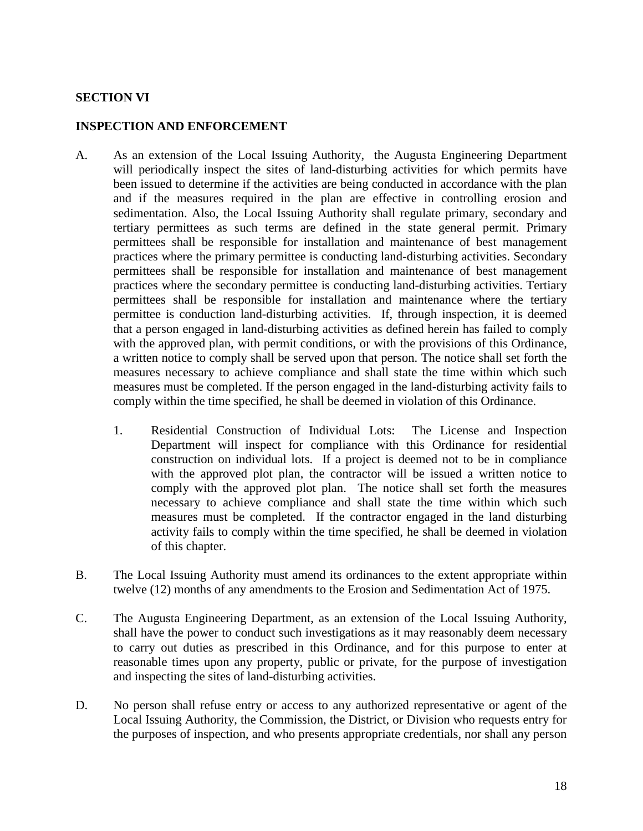### **SECTION VI**

#### **INSPECTION AND ENFORCEMENT**

- A. As an extension of the Local Issuing Authority, the Augusta Engineering Department will periodically inspect the sites of land-disturbing activities for which permits have been issued to determine if the activities are being conducted in accordance with the plan and if the measures required in the plan are effective in controlling erosion and sedimentation. Also, the Local Issuing Authority shall regulate primary, secondary and tertiary permittees as such terms are defined in the state general permit. Primary permittees shall be responsible for installation and maintenance of best management practices where the primary permittee is conducting land-disturbing activities. Secondary permittees shall be responsible for installation and maintenance of best management practices where the secondary permittee is conducting land-disturbing activities. Tertiary permittees shall be responsible for installation and maintenance where the tertiary permittee is conduction land-disturbing activities. If, through inspection, it is deemed that a person engaged in land-disturbing activities as defined herein has failed to comply with the approved plan, with permit conditions, or with the provisions of this Ordinance, a written notice to comply shall be served upon that person. The notice shall set forth the measures necessary to achieve compliance and shall state the time within which such measures must be completed. If the person engaged in the land-disturbing activity fails to comply within the time specified, he shall be deemed in violation of this Ordinance.
	- 1. Residential Construction of Individual Lots: The License and Inspection Department will inspect for compliance with this Ordinance for residential construction on individual lots. If a project is deemed not to be in compliance with the approved plot plan, the contractor will be issued a written notice to comply with the approved plot plan. The notice shall set forth the measures necessary to achieve compliance and shall state the time within which such measures must be completed. If the contractor engaged in the land disturbing activity fails to comply within the time specified, he shall be deemed in violation of this chapter.
- B. The Local Issuing Authority must amend its ordinances to the extent appropriate within twelve (12) months of any amendments to the Erosion and Sedimentation Act of 1975.
- C. The Augusta Engineering Department, as an extension of the Local Issuing Authority, shall have the power to conduct such investigations as it may reasonably deem necessary to carry out duties as prescribed in this Ordinance, and for this purpose to enter at reasonable times upon any property, public or private, for the purpose of investigation and inspecting the sites of land-disturbing activities.
- D. No person shall refuse entry or access to any authorized representative or agent of the Local Issuing Authority, the Commission, the District, or Division who requests entry for the purposes of inspection, and who presents appropriate credentials, nor shall any person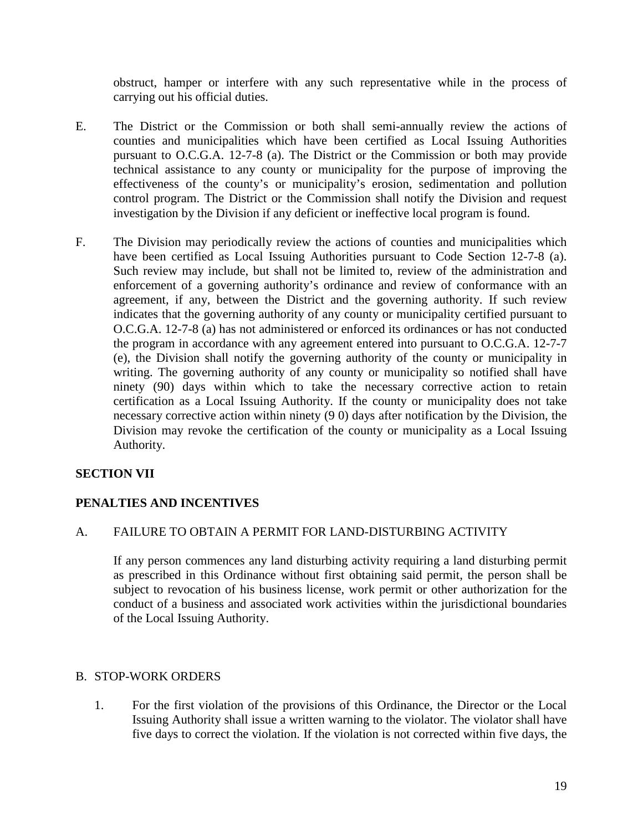obstruct, hamper or interfere with any such representative while in the process of carrying out his official duties.

- E. The District or the Commission or both shall semi-annually review the actions of counties and municipalities which have been certified as Local Issuing Authorities pursuant to O.C.G.A. 12-7-8 (a). The District or the Commission or both may provide technical assistance to any county or municipality for the purpose of improving the effectiveness of the county's or municipality's erosion, sedimentation and pollution control program. The District or the Commission shall notify the Division and request investigation by the Division if any deficient or ineffective local program is found.
- F. The Division may periodically review the actions of counties and municipalities which have been certified as Local Issuing Authorities pursuant to Code Section 12-7-8 (a). Such review may include, but shall not be limited to, review of the administration and enforcement of a governing authority's ordinance and review of conformance with an agreement, if any, between the District and the governing authority. If such review indicates that the governing authority of any county or municipality certified pursuant to O.C.G.A. 12-7-8 (a) has not administered or enforced its ordinances or has not conducted the program in accordance with any agreement entered into pursuant to O.C.G.A. 12-7-7 (e), the Division shall notify the governing authority of the county or municipality in writing. The governing authority of any county or municipality so notified shall have ninety (90) days within which to take the necessary corrective action to retain certification as a Local Issuing Authority. If the county or municipality does not take necessary corrective action within ninety (9 0) days after notification by the Division, the Division may revoke the certification of the county or municipality as a Local Issuing Authority.

# **SECTION VII**

## **PENALTIES AND INCENTIVES**

## A. FAILURE TO OBTAIN A PERMIT FOR LAND-DISTURBING ACTIVITY

If any person commences any land disturbing activity requiring a land disturbing permit as prescribed in this Ordinance without first obtaining said permit, the person shall be subject to revocation of his business license, work permit or other authorization for the conduct of a business and associated work activities within the jurisdictional boundaries of the Local Issuing Authority.

## B. STOP-WORK ORDERS

1. For the first violation of the provisions of this Ordinance, the Director or the Local Issuing Authority shall issue a written warning to the violator. The violator shall have five days to correct the violation. If the violation is not corrected within five days, the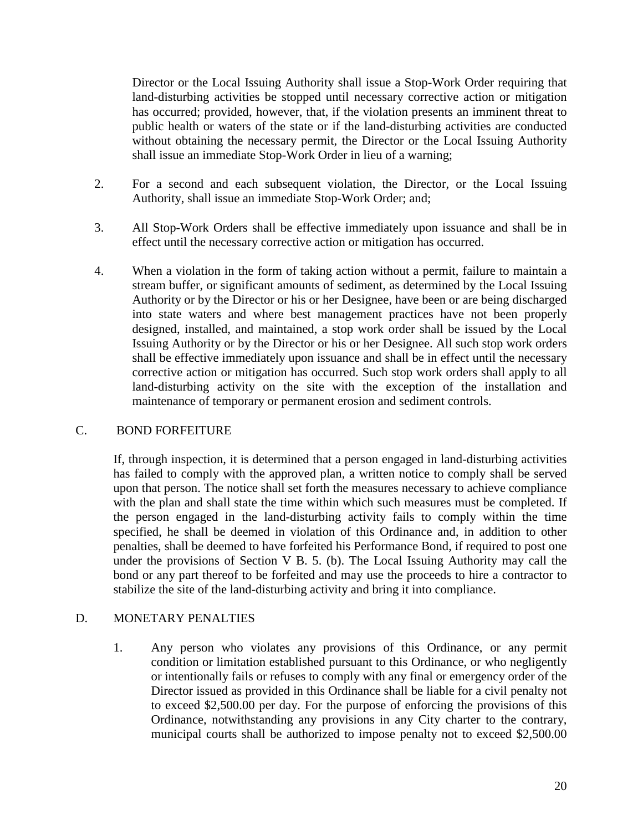Director or the Local Issuing Authority shall issue a Stop-Work Order requiring that land-disturbing activities be stopped until necessary corrective action or mitigation has occurred; provided, however, that, if the violation presents an imminent threat to public health or waters of the state or if the land-disturbing activities are conducted without obtaining the necessary permit, the Director or the Local Issuing Authority shall issue an immediate Stop-Work Order in lieu of a warning;

- 2. For a second and each subsequent violation, the Director, or the Local Issuing Authority, shall issue an immediate Stop-Work Order; and;
- 3. All Stop-Work Orders shall be effective immediately upon issuance and shall be in effect until the necessary corrective action or mitigation has occurred.
- 4. When a violation in the form of taking action without a permit, failure to maintain a stream buffer, or significant amounts of sediment, as determined by the Local Issuing Authority or by the Director or his or her Designee, have been or are being discharged into state waters and where best management practices have not been properly designed, installed, and maintained, a stop work order shall be issued by the Local Issuing Authority or by the Director or his or her Designee. All such stop work orders shall be effective immediately upon issuance and shall be in effect until the necessary corrective action or mitigation has occurred. Such stop work orders shall apply to all land-disturbing activity on the site with the exception of the installation and maintenance of temporary or permanent erosion and sediment controls.

## C. BOND FORFEITURE

If, through inspection, it is determined that a person engaged in land-disturbing activities has failed to comply with the approved plan, a written notice to comply shall be served upon that person. The notice shall set forth the measures necessary to achieve compliance with the plan and shall state the time within which such measures must be completed. If the person engaged in the land-disturbing activity fails to comply within the time specified, he shall be deemed in violation of this Ordinance and, in addition to other penalties, shall be deemed to have forfeited his Performance Bond, if required to post one under the provisions of Section V B. 5. (b). The Local Issuing Authority may call the bond or any part thereof to be forfeited and may use the proceeds to hire a contractor to stabilize the site of the land-disturbing activity and bring it into compliance.

## D. MONETARY PENALTIES

1. Any person who violates any provisions of this Ordinance, or any permit condition or limitation established pursuant to this Ordinance, or who negligently or intentionally fails or refuses to comply with any final or emergency order of the Director issued as provided in this Ordinance shall be liable for a civil penalty not to exceed \$2,500.00 per day. For the purpose of enforcing the provisions of this Ordinance, notwithstanding any provisions in any City charter to the contrary, municipal courts shall be authorized to impose penalty not to exceed \$2,500.00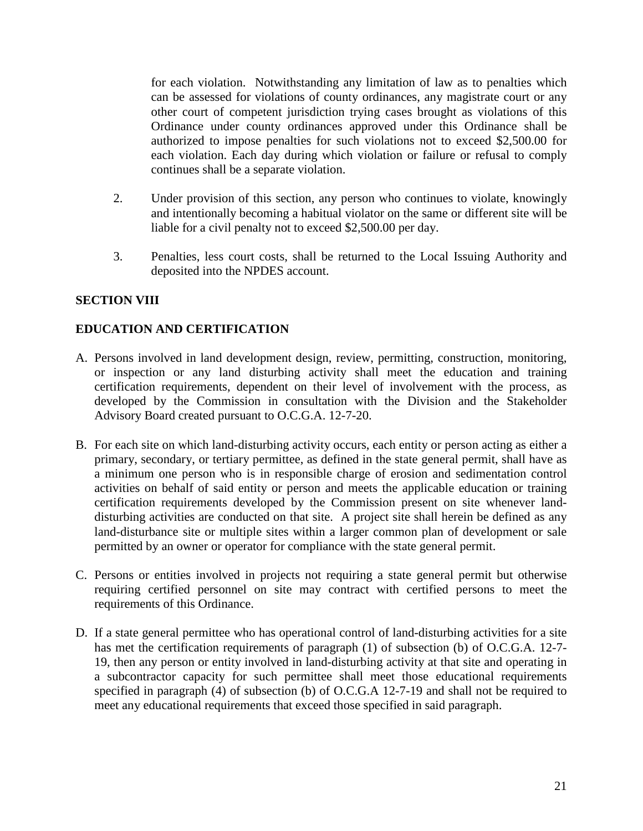for each violation. Notwithstanding any limitation of law as to penalties which can be assessed for violations of county ordinances, any magistrate court or any other court of competent jurisdiction trying cases brought as violations of this Ordinance under county ordinances approved under this Ordinance shall be authorized to impose penalties for such violations not to exceed \$2,500.00 for each violation. Each day during which violation or failure or refusal to comply continues shall be a separate violation.

- 2. Under provision of this section, any person who continues to violate, knowingly and intentionally becoming a habitual violator on the same or different site will be liable for a civil penalty not to exceed \$2,500.00 per day.
- 3. Penalties, less court costs, shall be returned to the Local Issuing Authority and deposited into the NPDES account.

# **SECTION VIII**

## **EDUCATION AND CERTIFICATION**

- A. Persons involved in land development design, review, permitting, construction, monitoring, or inspection or any land disturbing activity shall meet the education and training certification requirements, dependent on their level of involvement with the process, as developed by the Commission in consultation with the Division and the Stakeholder Advisory Board created pursuant to O.C.G.A. 12-7-20.
- B. For each site on which land-disturbing activity occurs, each entity or person acting as either a primary, secondary, or tertiary permittee, as defined in the state general permit, shall have as a minimum one person who is in responsible charge of erosion and sedimentation control activities on behalf of said entity or person and meets the applicable education or training certification requirements developed by the Commission present on site whenever landdisturbing activities are conducted on that site. A project site shall herein be defined as any land-disturbance site or multiple sites within a larger common plan of development or sale permitted by an owner or operator for compliance with the state general permit.
- C. Persons or entities involved in projects not requiring a state general permit but otherwise requiring certified personnel on site may contract with certified persons to meet the requirements of this Ordinance.
- D. If a state general permittee who has operational control of land-disturbing activities for a site has met the certification requirements of paragraph (1) of subsection (b) of O.C.G.A. 12-7- 19, then any person or entity involved in land-disturbing activity at that site and operating in a subcontractor capacity for such permittee shall meet those educational requirements specified in paragraph (4) of subsection (b) of O.C.G.A 12-7-19 and shall not be required to meet any educational requirements that exceed those specified in said paragraph.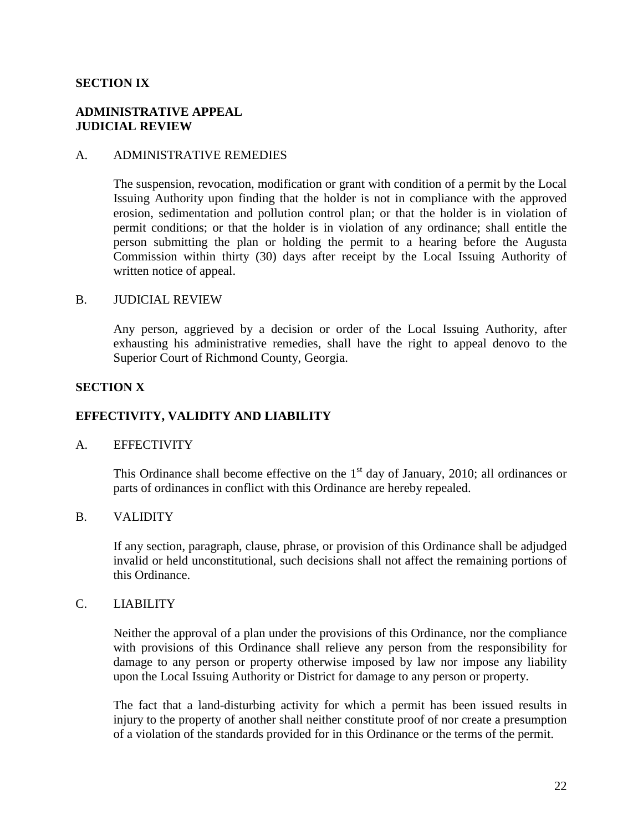#### **SECTION IX**

#### **ADMINISTRATIVE APPEAL JUDICIAL REVIEW**

#### A. ADMINISTRATIVE REMEDIES

The suspension, revocation, modification or grant with condition of a permit by the Local Issuing Authority upon finding that the holder is not in compliance with the approved erosion, sedimentation and pollution control plan; or that the holder is in violation of permit conditions; or that the holder is in violation of any ordinance; shall entitle the person submitting the plan or holding the permit to a hearing before the Augusta Commission within thirty (30) days after receipt by the Local Issuing Authority of written notice of appeal.

#### B. JUDICIAL REVIEW

Any person, aggrieved by a decision or order of the Local Issuing Authority, after exhausting his administrative remedies, shall have the right to appeal denovo to the Superior Court of Richmond County, Georgia.

#### **SECTION X**

### **EFFECTIVITY, VALIDITY AND LIABILITY**

#### A. EFFECTIVITY

This Ordinance shall become effective on the  $1<sup>st</sup>$  day of January, 2010; all ordinances or parts of ordinances in conflict with this Ordinance are hereby repealed.

#### B. VALIDITY

If any section, paragraph, clause, phrase, or provision of this Ordinance shall be adjudged invalid or held unconstitutional, such decisions shall not affect the remaining portions of this Ordinance.

#### C. LIABILITY

Neither the approval of a plan under the provisions of this Ordinance, nor the compliance with provisions of this Ordinance shall relieve any person from the responsibility for damage to any person or property otherwise imposed by law nor impose any liability upon the Local Issuing Authority or District for damage to any person or property.

The fact that a land-disturbing activity for which a permit has been issued results in injury to the property of another shall neither constitute proof of nor create a presumption of a violation of the standards provided for in this Ordinance or the terms of the permit.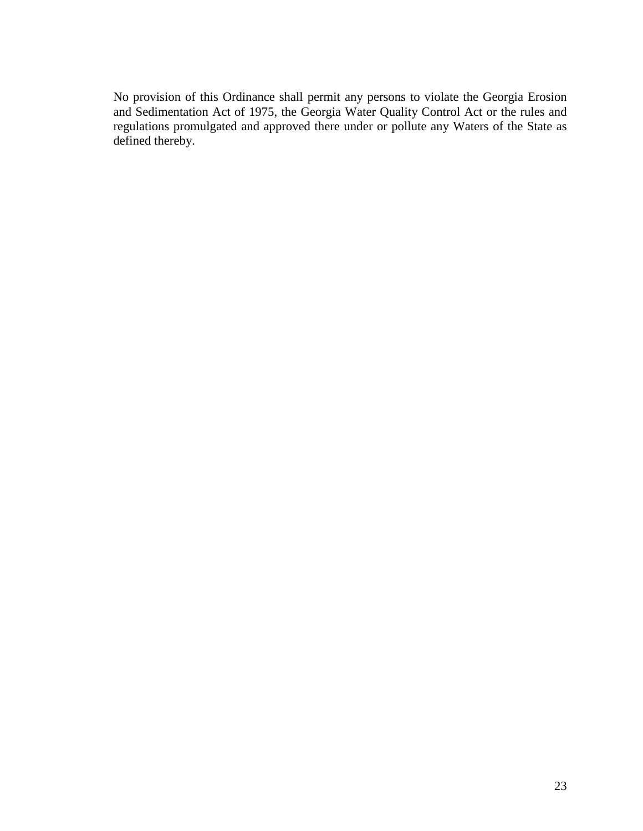No provision of this Ordinance shall permit any persons to violate the Georgia Erosion and Sedimentation Act of 1975, the Georgia Water Quality Control Act or the rules and regulations promulgated and approved there under or pollute any Waters of the State as defined thereby.